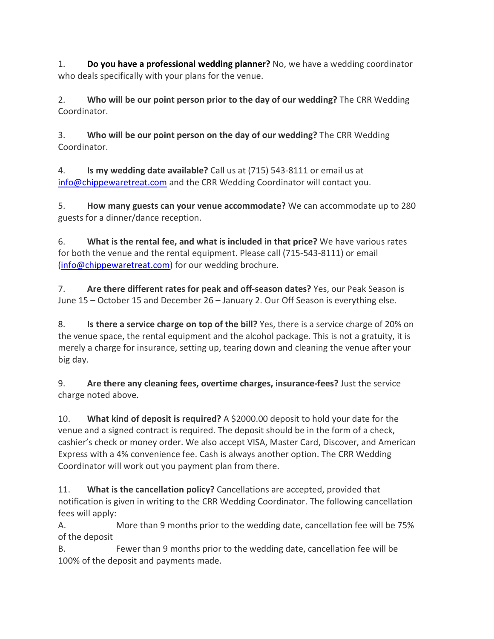1. **Do you have a professional wedding planner?** No, we have a wedding coordinator who deals specifically with your plans for the venue.

2. **Who will be our point person prior to the day of our wedding?** The CRR Wedding Coordinator.

3. **Who will be our point person on the day of our wedding?** The CRR Wedding Coordinator.

4. **Is my wedding date available?** Call us at (715) 543-8111 or email us at [info@chippewaretreat.com](mailto:info@chippewaretreat.com) and the CRR Wedding Coordinator will contact you.

5. **How many guests can your venue accommodate?** We can accommodate up to 280 guests for a dinner/dance reception.

6. **What is the rental fee, and what is included in that price?** We have various rates for both the venue and the rental equipment. Please call (715-543-8111) or email [\(info@chippewaretreat.com\)](mailto:info@chippewaretreat.com) for our wedding brochure.

7. **Are there different rates for peak and off-season dates?** Yes, our Peak Season is June 15 – October 15 and December 26 – January 2. Our Off Season is everything else.

8. **Is there a service charge on top of the bill?** Yes, there is a service charge of 20% on the venue space, the rental equipment and the alcohol package. This is not a gratuity, it is merely a charge for insurance, setting up, tearing down and cleaning the venue after your big day.

9. **Are there any cleaning fees, overtime charges, insurance-fees?** Just the service charge noted above.

10. **What kind of deposit is required?** A \$2000.00 deposit to hold your date for the venue and a signed contract is required. The deposit should be in the form of a check, cashier's check or money order. We also accept VISA, Master Card, Discover, and American Express with a 4% convenience fee. Cash is always another option. The CRR Wedding Coordinator will work out you payment plan from there.

11. **What is the cancellation policy?** Cancellations are accepted, provided that notification is given in writing to the CRR Wedding Coordinator. The following cancellation fees will apply:

A. More than 9 months prior to the wedding date, cancellation fee will be 75% of the deposit

B. Fewer than 9 months prior to the wedding date, cancellation fee will be 100% of the deposit and payments made.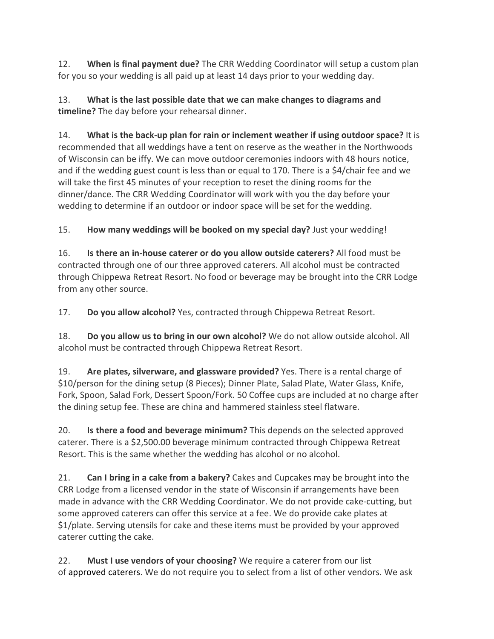12. **When is final payment due?** The CRR Wedding Coordinator will setup a custom plan for you so your wedding is all paid up at least 14 days prior to your wedding day.

13. **What is the last possible date that we can make changes to diagrams and timeline?** The day before your rehearsal dinner.

14. **What is the back-up plan for rain or inclement weather if using outdoor space?** It is recommended that all weddings have a tent on reserve as the weather in the Northwoods of Wisconsin can be iffy. We can move outdoor ceremonies indoors with 48 hours notice, and if the wedding guest count is less than or equal to 170. There is a \$4/chair fee and we will take the first 45 minutes of your reception to reset the dining rooms for the dinner/dance. The CRR Wedding Coordinator will work with you the day before your wedding to determine if an outdoor or indoor space will be set for the wedding.

15. **How many weddings will be booked on my special day?** Just your wedding!

16. **Is there an in-house caterer or do you allow outside caterers?** All food must be contracted through one of our three approved caterers. All alcohol must be contracted through Chippewa Retreat Resort. No food or beverage may be brought into the CRR Lodge from any other source.

17. **Do you allow alcohol?** Yes, contracted through Chippewa Retreat Resort.

18. **Do you allow us to bring in our own alcohol?** We do not allow outside alcohol. All alcohol must be contracted through Chippewa Retreat Resort.

19. **Are plates, silverware, and glassware provided?** Yes. There is a rental charge of \$10/person for the dining setup (8 Pieces); Dinner Plate, Salad Plate, Water Glass, Knife, Fork, Spoon, Salad Fork, Dessert Spoon/Fork. 50 Coffee cups are included at no charge after the dining setup fee. These are china and hammered stainless steel flatware.

20. **Is there a food and beverage minimum?** This depends on the selected approved caterer. There is a \$2,500.00 beverage minimum contracted through Chippewa Retreat Resort. This is the same whether the wedding has alcohol or no alcohol.

21. **Can I bring in a cake from a bakery?** Cakes and Cupcakes may be brought into the CRR Lodge from a licensed vendor in the state of Wisconsin if arrangements have been made in advance with the CRR Wedding Coordinator. We do not provide cake-cutting, but some approved caterers can offer this service at a fee. We do provide cake plates at \$1/plate. Serving utensils for cake and these items must be provided by your approved caterer cutting the cake.

22. **Must I use vendors of your choosing?** We require a caterer from our list of approved caterers. We do not require you to select from a list of other vendors. We ask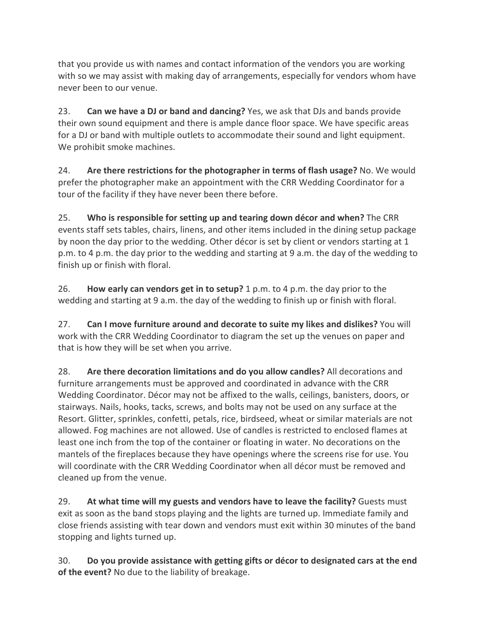that you provide us with names and contact information of the vendors you are working with so we may assist with making day of arrangements, especially for vendors whom have never been to our venue.

23. **Can we have a DJ or band and dancing?** Yes, we ask that DJs and bands provide their own sound equipment and there is ample dance floor space. We have specific areas for a DJ or band with multiple outlets to accommodate their sound and light equipment. We prohibit smoke machines.

24. **Are there restrictions for the photographer in terms of flash usage?** No. We would prefer the photographer make an appointment with the CRR Wedding Coordinator for a tour of the facility if they have never been there before.

25. **Who is responsible for setting up and tearing down décor and when?** The CRR events staff sets tables, chairs, linens, and other items included in the dining setup package by noon the day prior to the wedding. Other décor is set by client or vendors starting at 1 p.m. to 4 p.m. the day prior to the wedding and starting at 9 a.m. the day of the wedding to finish up or finish with floral.

26. **How early can vendors get in to setup?** 1 p.m. to 4 p.m. the day prior to the wedding and starting at 9 a.m. the day of the wedding to finish up or finish with floral.

27. **Can I move furniture around and decorate to suite my likes and dislikes?** You will work with the CRR Wedding Coordinator to diagram the set up the venues on paper and that is how they will be set when you arrive.

28. **Are there decoration limitations and do you allow candles?** All decorations and furniture arrangements must be approved and coordinated in advance with the CRR Wedding Coordinator. Décor may not be affixed to the walls, ceilings, banisters, doors, or stairways. Nails, hooks, tacks, screws, and bolts may not be used on any surface at the Resort. Glitter, sprinkles, confetti, petals, rice, birdseed, wheat or similar materials are not allowed. Fog machines are not allowed. Use of candles is restricted to enclosed flames at least one inch from the top of the container or floating in water. No decorations on the mantels of the fireplaces because they have openings where the screens rise for use. You will coordinate with the CRR Wedding Coordinator when all décor must be removed and cleaned up from the venue.

29. **At what time will my guests and vendors have to leave the facility?** Guests must exit as soon as the band stops playing and the lights are turned up. Immediate family and close friends assisting with tear down and vendors must exit within 30 minutes of the band stopping and lights turned up.

30. **Do you provide assistance with getting gifts or décor to designated cars at the end of the event?** No due to the liability of breakage.